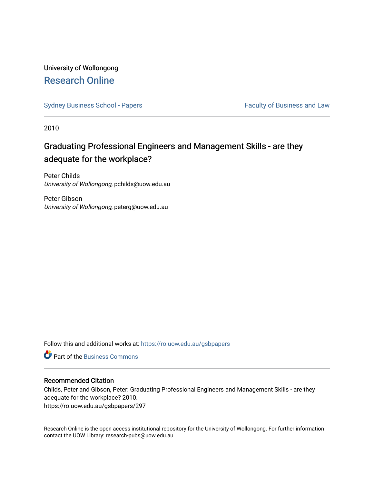# University of Wollongong [Research Online](https://ro.uow.edu.au/)

[Sydney Business School - Papers](https://ro.uow.edu.au/gsbpapers) Faculty of Business and Law

2010

# Graduating Professional Engineers and Management Skills - are they adequate for the workplace?

Peter Childs University of Wollongong, pchilds@uow.edu.au

Peter Gibson University of Wollongong, peterg@uow.edu.au

Follow this and additional works at: [https://ro.uow.edu.au/gsbpapers](https://ro.uow.edu.au/gsbpapers?utm_source=ro.uow.edu.au%2Fgsbpapers%2F297&utm_medium=PDF&utm_campaign=PDFCoverPages) 

**C** Part of the [Business Commons](http://network.bepress.com/hgg/discipline/622?utm_source=ro.uow.edu.au%2Fgsbpapers%2F297&utm_medium=PDF&utm_campaign=PDFCoverPages)

#### Recommended Citation

Childs, Peter and Gibson, Peter: Graduating Professional Engineers and Management Skills - are they adequate for the workplace? 2010. https://ro.uow.edu.au/gsbpapers/297

Research Online is the open access institutional repository for the University of Wollongong. For further information contact the UOW Library: research-pubs@uow.edu.au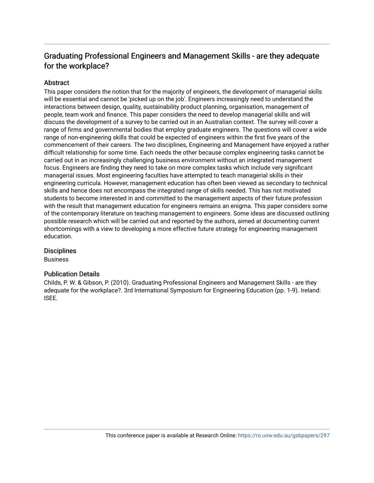# Graduating Professional Engineers and Management Skills - are they adequate for the workplace?

#### Abstract

This paper considers the notion that for the majority of engineers, the development of managerial skills will be essential and cannot be 'picked up on the job'. Engineers increasingly need to understand the interactions between design, quality, sustainability product planning, organisation, management of people, team work and finance. This paper considers the need to develop managerial skills and will discuss the development of a survey to be carried out in an Australian context. The survey will cover a range of firms and governmental bodies that employ graduate engineers. The questions will cover a wide range of non-engineering skills that could be expected of engineers within the first five years of the commencement of their careers. The two disciplines, Engineering and Management have enjoyed a rather difficult relationship for some time. Each needs the other because complex engineering tasks cannot be carried out in an increasingly challenging business environment without an integrated management focus. Engineers are finding they need to take on more complex tasks which include very significant managerial issues. Most engineering faculties have attempted to teach managerial skills in their engineering curricula. However, management education has often been viewed as secondary to technical skills and hence does not encompass the integrated range of skills needed. This has not motivated students to become interested in and committed to the management aspects of their future profession with the result that management education for engineers remains an enigma. This paper considers some of the contemporary literature on teaching management to engineers. Some ideas are discussed outlining possible research which will be carried out and reported by the authors, aimed at documenting current shortcomings with a view to developing a more effective future strategy for engineering management education.

#### **Disciplines**

Business

#### Publication Details

Childs, P. W. & Gibson, P. (2010). Graduating Professional Engineers and Management Skills - are they adequate for the workplace?. 3rd International Symposium for Engineering Education (pp. 1-9). Ireland: ISEE.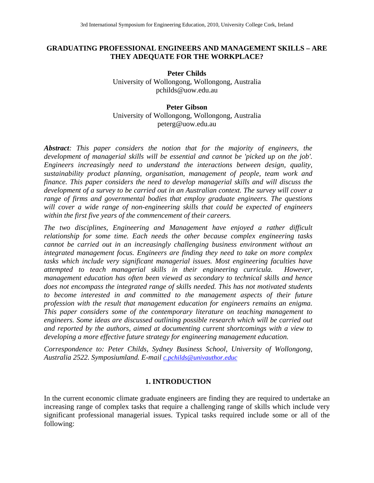#### **GRADUATING PROFESSIONAL ENGINEERS AND MANAGEMENT SKILLS – ARE THEY ADEQUATE FOR THE WORKPLACE?**

**Peter Childs**  University of Wollongong, Wollongong, Australia pchilds@uow.edu.au

# **Peter Gibson**

University of Wollongong, Wollongong, Australia peterg@uow.edu.au

*Abstract: This paper considers the notion that for the majority of engineers, the development of managerial skills will be essential and cannot be 'picked up on the job'. Engineers increasingly need to understand the interactions between design, quality, sustainability product planning, organisation, management of people, team work and finance. This paper considers the need to develop managerial skills and will discuss the development of a survey to be carried out in an Australian context. The survey will cover a range of firms and governmental bodies that employ graduate engineers. The questions will cover a wide range of non-engineering skills that could be expected of engineers within the first five years of the commencement of their careers.* 

*The two disciplines, Engineering and Management have enjoyed a rather difficult relationship for some time. Each needs the other because complex engineering tasks cannot be carried out in an increasingly challenging business environment without an integrated management focus. Engineers are finding they need to take on more complex tasks which include very significant managerial issues. Most engineering faculties have attempted to teach managerial skills in their engineering curricula. However, management education has often been viewed as secondary to technical skills and hence does not encompass the integrated range of skills needed. This has not motivated students to become interested in and committed to the management aspects of their future profession with the result that management education for engineers remains an enigma. This paper considers some of the contemporary literature on teaching management to engineers. Some ideas are discussed outlining possible research which will be carried out and reported by the authors, aimed at documenting current shortcomings with a view to developing a more effective future strategy for engineering management education.* 

*Correspondence to: Peter Childs, Sydney Business School, University of Wollongong, Australia 2522. Symposiumland. E-mail [c.pchilds@univauthor.educ](mailto:c.pchilds@univauther.educ)*

## **1. INTRODUCTION**

In the current economic climate graduate engineers are finding they are required to undertake an increasing range of complex tasks that require a challenging range of skills which include very significant professional managerial issues. Typical tasks required include some or all of the following: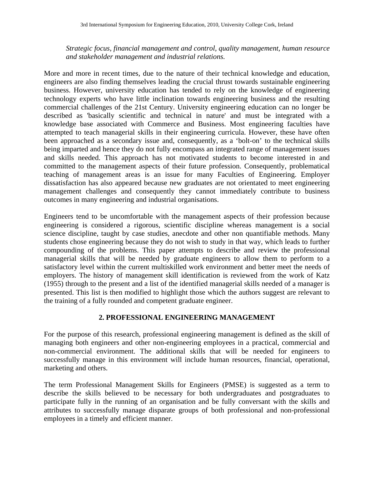*Strategic focus, financial management and control, quality management, human resource and stakeholder management and industrial relations.* 

More and more in recent times, due to the nature of their technical knowledge and education, engineers are also finding themselves leading the crucial thrust towards sustainable engineering business. However, university education has tended to rely on the knowledge of engineering technology experts who have little inclination towards engineering business and the resulting commercial challenges of the 21st Century. University engineering education can no longer be described as 'basically scientific and technical in nature' and must be integrated with a knowledge base associated with Commerce and Business. Most engineering faculties have attempted to teach managerial skills in their engineering curricula. However, these have often been approached as a secondary issue and, consequently, as a 'bolt-on' to the technical skills being imparted and hence they do not fully encompass an integrated range of management issues and skills needed. This approach has not motivated students to become interested in and committed to the management aspects of their future profession. Consequently, problematical teaching of management areas is an issue for many Faculties of Engineering. Employer dissatisfaction has also appeared because new graduates are not orientated to meet engineering management challenges and consequently they cannot immediately contribute to business outcomes in many engineering and industrial organisations.

Engineers tend to be uncomfortable with the management aspects of their profession because engineering is considered a rigorous, scientific discipline whereas management is a social science discipline, taught by case studies, anecdote and other non quantifiable methods. Many students chose engineering because they do not wish to study in that way, which leads to further compounding of the problems. This paper attempts to describe and review the professional managerial skills that will be needed by graduate engineers to allow them to perform to a satisfactory level within the current multiskilled work environment and better meet the needs of employers. The history of management skill identification is reviewed from the work of Katz (1955) through to the present and a list of the identified managerial skills needed of a manager is presented. This list is then modified to highlight those which the authors suggest are relevant to the training of a fully rounded and competent graduate engineer.

## **2. PROFESSIONAL ENGINEERING MANAGEMENT**

For the purpose of this research, professional engineering management is defined as the skill of managing both engineers and other non-engineering employees in a practical, commercial and non-commercial environment. The additional skills that will be needed for engineers to successfully manage in this environment will include human resources, financial, operational, marketing and others.

The term Professional Management Skills for Engineers (PMSE) is suggested as a term to describe the skills believed to be necessary for both undergraduates and postgraduates to participate fully in the running of an organisation and be fully conversant with the skills and attributes to successfully manage disparate groups of both professional and non-professional employees in a timely and efficient manner.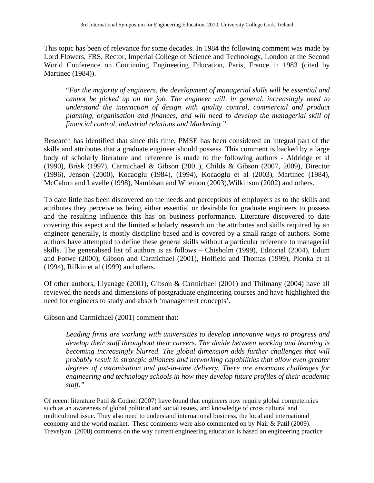This topic has been of relevance for some decades. In 1984 the following comment was made by Lord Flowers, FRS, Rector, Imperial College of Science and Technology, London at the Second World Conference on Continuing Engineering Education, Paris, France in 1983 (cited by Martinec (1984)).

"*For the majority of engineers, the development of managerial skills will be essential and cannot be picked up on the job. The engineer will, in general, increasingly need to understand the interaction of design with quality control, commercial and product planning, organisation and finances, and will need to develop the managerial skill of financial control, industrial relations and Marketing."* 

Research has identified that since this time, PMSE has been considered an integral part of the skills and attributes that a graduate engineer should possess. This comment is backed by a large body of scholarly literature and reference is made to the following authors - Aldridge et al (1990), Brisk (1997), Carmichael & Gibson (2001), Childs & Gibson (2007, 2009), Director (1996), Jenson (2000), Kocaoglu (1984), (1994), Kocaoglu et al (2003), Martinec (1984), McCahon and Lavelle (1998), Nambisan and Wilemon (2003),Wilkinson (2002) and others.

To date little has been discovered on the needs and perceptions of employers as to the skills and attributes they perceive as being either essential or desirable for graduate engineers to possess and the resulting influence this has on business performance. Literature discovered to date covering this aspect and the limited scholarly research on the attributes and skills required by an engineer generally, is mostly discipline based and is covered by a small range of authors. Some authors have attempted to define these general skills without a particular reference to managerial skills. The generalised list of authors is as follows – Chisholm (1999), Editorial (2004), Edum and Fotwe (2000), Gibson and Carmichael (2001), Holfield and Thomas (1999), Plonka et al (1994), Rifkin et al (1999) and others.

Of other authors, Liyanage (2001), Gibson & Carmichael (2001) and Thilmany (2004) have all reviewed the needs and dimensions of postgraduate engineering courses and have highlighted the need for engineers to study and absorb 'management concepts'.

Gibson and Carmichael (2001) comment that:

*Leading firms are working with universities to develop innovative ways to progress and develop their staff throughout their careers. The divide between working and learning is*  becoming increasingly blurred. The global dimension adds further challenges that will *probably result in strategic alliances and networking capabilities that allow even greater degrees of customisation and just-in-time delivery. There are enormous challenges for engineering and technology schools in how they develop future profiles of their academic staff."* 

Of recent literature Patil & Codnel (2007) have found that engineers now require global competencies such as an awareness of global political and social issues, and knowledge of cross cultural and multicultural issue. They also need to understand international business, the local and international economy and the world market. These comments were also commented on by Nair & Patil (2009). Trevelyan (2008) comments on the way current engineering education is based on engineering practice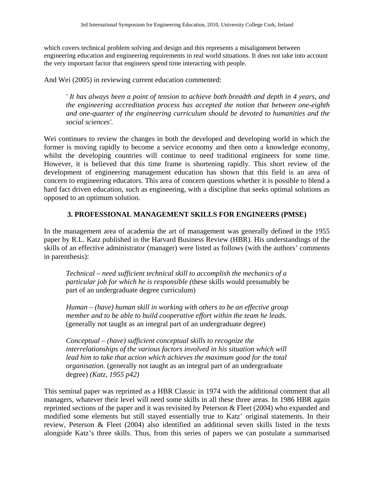which covers technical problem solving and design and this represents a misalignment between engineering education and engineering requirements in real world situations. It does not take into account the very important factor that engineers spend time interacting with people.

And Wei (2005) in reviewing current education commented:

*' It has always been a point of tension to achieve both breadth and depth in 4 years, and the engineering accreditation process has accepted the notion that between one-eighth and one-quarter of the engineering curriculum should be devoted to humanities and the social sciences'.* 

Wei continues to review the changes in both the developed and developing world in which the former is moving rapidly to become a service economy and then onto a knowledge economy, whilst the developing countries will continue to need traditional engineers for some time. However, it is believed that this time frame is shortening rapidly. This short review of the development of engineering management education has shown that this field is an area of concern to engineering educators. This area of concern questions whether it is possible to blend a hard fact driven education, such as engineering, with a discipline that seeks optimal solutions as opposed to an optimum solution.

## **3. PROFESSIONAL MANAGEMENT SKILLS FOR ENGINEERS (PMSE)**

In the management area of academia the art of management was generally defined in the 1955 paper by R.L. Katz published in the Harvard Business Review (HBR). His understandings of the skills of an effective administrator (manager) were listed as follows (with the authors' comments in parenthesis):

*Technical – need sufficient technical skill to accomplish the mechanics of a particular job for which he is responsible (*these skills would presumably be part of an undergraduate degree curriculum)

*Human – (have) human skill in working with others to be an effective group member and to be able to build cooperative effort within the team he leads.*  (generally not taught as an integral part of an undergraduate degree)

*Conceptual – (have) sufficient conceptual skills to recognize the interrelationships of the various factors involved in his situation which will*  lead him to take that action which achieves the maximum good for the total *organisation.* (generally not taught as an integral part of an undergraduate degree) *(Katz, 1955 p42)* 

This seminal paper was reprinted as a HBR Classic in 1974 with the additional comment that all managers, whatever their level will need some skills in all these three areas. In 1986 HBR again reprinted sections of the paper and it was revisited by Peterson & Fleet (2004) who expanded and modified some elements but still stayed essentially true to Katz' original statements. In their review, Peterson & Fleet (2004) also identified an additional seven skills listed in the texts alongside Katz's three skills. Thus, from this series of papers we can postulate a summarised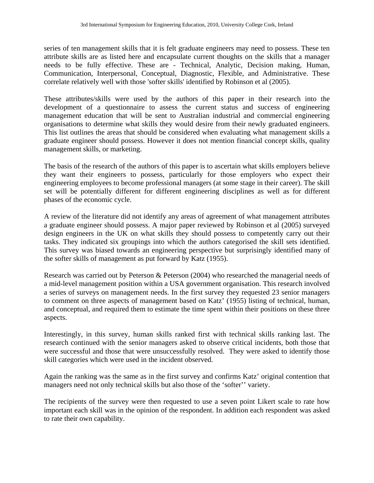series of ten management skills that it is felt graduate engineers may need to possess. These ten attribute skills are as listed here and encapsulate current thoughts on the skills that a manager needs to be fully effective. These are - Technical, Analytic, Decision making, Human, Communication, Interpersonal, Conceptual, Diagnostic, Flexible, and Administrative. These correlate relatively well with those 'softer skills' identified by Robinson et al (2005).

These attributes/skills were used by the authors of this paper in their research into the development of a questionnaire to assess the current status and success of engineering management education that will be sent to Australian industrial and commercial engineering organisations to determine what skills they would desire from their newly graduated engineers. This list outlines the areas that should be considered when evaluating what management skills a graduate engineer should possess. However it does not mention financial concept skills, quality management skills, or marketing.

The basis of the research of the authors of this paper is to ascertain what skills employers believe they want their engineers to possess, particularly for those employers who expect their engineering employees to become professional managers (at some stage in their career). The skill set will be potentially different for different engineering disciplines as well as for different phases of the economic cycle.

A review of the literature did not identify any areas of agreement of what management attributes a graduate engineer should possess. A major paper reviewed by Robinson et al (2005) surveyed design engineers in the UK on what skills they should possess to competently carry out their tasks. They indicated six groupings into which the authors categorised the skill sets identified. This survey was biased towards an engineering perspective but surprisingly identified many of the softer skills of management as put forward by Katz (1955).

Research was carried out by Peterson & Peterson (2004) who researched the managerial needs of a mid-level management position within a USA government organisation. This research involved a series of surveys on management needs. In the first survey they requested 23 senior managers to comment on three aspects of management based on Katz' (1955) listing of technical, human, and conceptual, and required them to estimate the time spent within their positions on these three aspects.

Interestingly, in this survey, human skills ranked first with technical skills ranking last. The research continued with the senior managers asked to observe critical incidents, both those that were successful and those that were unsuccessfully resolved. They were asked to identify those skill categories which were used in the incident observed.

Again the ranking was the same as in the first survey and confirms Katz' original contention that managers need not only technical skills but also those of the 'softer'' variety.

The recipients of the survey were then requested to use a seven point Likert scale to rate how important each skill was in the opinion of the respondent. In addition each respondent was asked to rate their own capability.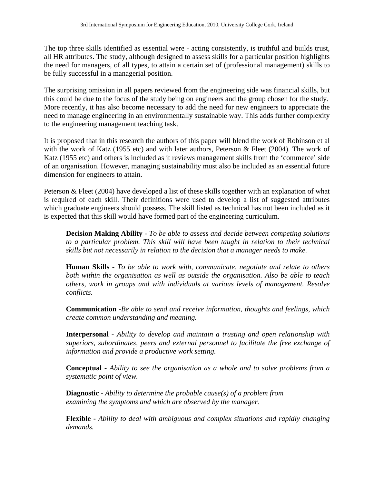The top three skills identified as essential were - acting consistently, is truthful and builds trust, all HR attributes. The study, although designed to assess skills for a particular position highlights the need for managers, of all types, to attain a certain set of (professional management) skills to be fully successful in a managerial position.

The surprising omission in all papers reviewed from the engineering side was financial skills, but this could be due to the focus of the study being on engineers and the group chosen for the study. More recently, it has also become necessary to add the need for new engineers to appreciate the need to manage engineering in an environmentally sustainable way. This adds further complexity to the engineering management teaching task.

It is proposed that in this research the authors of this paper will blend the work of Robinson et al with the work of Katz (1955 etc) and with later authors, Peterson & Fleet (2004). The work of Katz (1955 etc) and others is included as it reviews management skills from the 'commerce' side of an organisation. However, managing sustainability must also be included as an essential future dimension for engineers to attain.

Peterson & Fleet (2004) have developed a list of these skills together with an explanation of what is required of each skill. Their definitions were used to develop a list of suggested attributes which graduate engineers should possess. The skill listed as technical has not been included as it is expected that this skill would have formed part of the engineering curriculum.

**Decision Making Ability** - *To be able to assess and decide between competing solutions to a particular problem. This skill will have been taught in relation to their technical skills but not necessarily in relation to the decision that a manager needs to make.* 

**Human Skills -** *To be able to work with, communicate, negotiate and relate to others both within the organisation as well as outside the organisation. Also be able to teach others, work in groups and with individuals at various levels of management. Resolve conflicts.*

**Communication** -*Be able to send and receive information, thoughts and feelings, which create common understanding and meaning.*

**Interpersonal -** *Ability to develop and maintain a trusting and open relationship with superiors, subordinates, peers and external personnel to facilitate the free exchange of information and provide a productive work setting.*

**Conceptual** - *Ability to see the organisation as a whole and to solve problems from a systematic point of view.*

 **Diagnostic** - *Ability to determine the probable cause(s) of a problem from examining the symptoms and which are observed by the manager.*

**Flexible -** *Ability to deal with ambiguous and complex situations and rapidly changing demands.*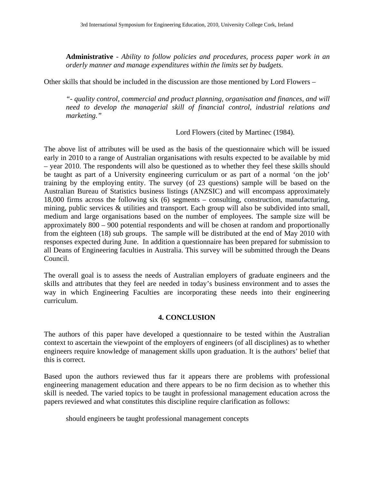**Administrative** - *Ability to follow policies and procedures, process paper work in an orderly manner and manage expenditures within the limits set by budgets.*

Other skills that should be included in the discussion are those mentioned by Lord Flowers –

*"- quality control, commercial and product planning, organisation and finances, and will need to develop the managerial skill of financial control, industrial relations and marketing."* 

Lord Flowers (cited by Martinec (1984).

The above list of attributes will be used as the basis of the questionnaire which will be issued early in 2010 to a range of Australian organisations with results expected to be available by mid – year 2010. The respondents will also be questioned as to whether they feel these skills should be taught as part of a University engineering curriculum or as part of a normal 'on the job' training by the employing entity. The survey (of 23 questions) sample will be based on the Australian Bureau of Statistics business listings (ANZSIC) and will encompass approximately 18,000 firms across the following six (6) segments – consulting, construction, manufacturing, mining, public services & utilities and transport. Each group will also be subdivided into small, medium and large organisations based on the number of employees. The sample size will be approximately 800 – 900 potential respondents and will be chosen at random and proportionally from the eighteen (18) sub groups. The sample will be distributed at the end of May 2010 with responses expected during June. In addition a questionnaire has been prepared for submission to all Deans of Engineering faculties in Australia. This survey will be submitted through the Deans Council.

The overall goal is to assess the needs of Australian employers of graduate engineers and the skills and attributes that they feel are needed in today's business environment and to asses the way in which Engineering Faculties are incorporating these needs into their engineering curriculum.

## **4. CONCLUSION**

The authors of this paper have developed a questionnaire to be tested within the Australian context to ascertain the viewpoint of the employers of engineers (of all disciplines) as to whether engineers require knowledge of management skills upon graduation. It is the authors' belief that this is correct.

Based upon the authors reviewed thus far it appears there are problems with professional engineering management education and there appears to be no firm decision as to whether this skill is needed. The varied topics to be taught in professional management education across the papers reviewed and what constitutes this discipline require clarification as follows:

should engineers be taught professional management concepts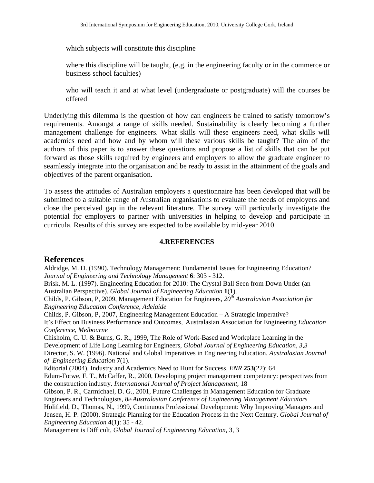which subjects will constitute this discipline

where this discipline will be taught, (e.g. in the engineering faculty or in the commerce or business school faculties)

who will teach it and at what level (undergraduate or postgraduate) will the courses be offered

Underlying this dilemma is the question of how can engineers be trained to satisfy tomorrow's requirements. Amongst a range of skills needed. Sustainability is clearly becoming a further management challenge for engineers. What skills will these engineers need, what skills will academics need and how and by whom will these various skills be taught? The aim of the authors of this paper is to answer these questions and propose a list of skills that can be put forward as those skills required by engineers and employers to allow the graduate engineer to seamlessly integrate into the organisation and be ready to assist in the attainment of the goals and objectives of the parent organisation.

To assess the attitudes of Australian employers a questionnaire has been developed that will be submitted to a suitable range of Australian organisations to evaluate the needs of employers and close the perceived gap in the relevant literature. The survey will particularly investigate the potential for employers to partner with universities in helping to develop and participate in curricula. Results of this survey are expected to be available by mid-year 2010.

#### **4.REFERENCES**

# **References**

Aldridge, M. D. (1990). Technology Management: Fundamental Issues for Engineering Education? *Journal of Engineering and Technology Management* **6**: 303 - 312.

Brisk, M. L. (1997). Engineering Education for 2010: The Crystal Ball Seen from Down Under (an Australian Perspective). *Global Journal of Engineering Education* **1**(1).

Childs, P. Gibson, P. 2009, Management Education for Engineers,  $20<sup>th</sup>$  Australasian Association for *Engineering Education Conference, Adelaide* 

Childs, P. Gibson, P. 2007, Engineering Management Education  $- A$  Strategic Imperative? It's Effect on Business Performance and Outcomes, Australasian Association for Engineering *Education Conference, Melbourne*

Chisholm, C. U. & Burns, G. R., 1999, The Role of Work-Based and Workplace Learning in the Development of Life Long Learning for Engineers, *Global Journal of Engineering Education, 3,3* Director, S. W. (1996). National and Global Imperatives in Engineering Education. *Australasian Journal of Engineering Education* **7**(1).

Editorial (2004). Industry and Academics Need to Hunt for Success, *ENR* **253**(22): 64.

Edum-Fotwe, F. T., McCaffer, R., 2000, Developing project management competency: perspectives from the construction industry. *International Journal of Project Management,* 18

Gibson, P. R., Carmichael, D. G., 2001, Future Challenges in Management Education for Graduate Engineers and Technologists, *8th Australasian Conference of Engineering Management Educators* Holifield, D., Thomas, N., 1999, Continuous Professional Development: Why Improving Managers and Jensen, H. P. (2000). Strategic Planning for the Education Process in the Next Century. *Global Journal of Engineering Education* **4**(1): 35 - 42.

Management is Difficult, *Global Journal of Engineering Education,* 3, 3